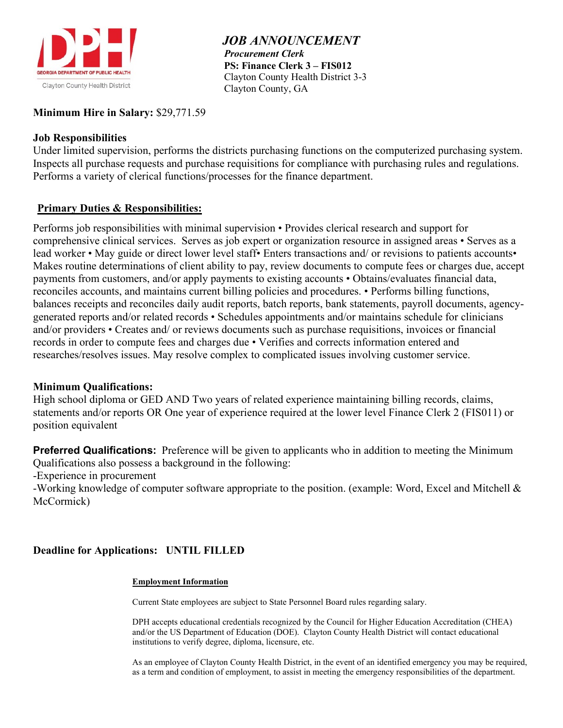

 *JOB ANNOUNCEMENT Procurement Clerk*  **PS: Finance Clerk 3 – FIS012** Clayton County Health District 3-3 Clayton County, GA

#### **Minimum Hire in Salary:** \$29,771.59

#### **Job Responsibilities**

Under limited supervision, performs the districts purchasing functions on the computerized purchasing system. Inspects all purchase requests and purchase requisitions for compliance with purchasing rules and regulations. Performs a variety of clerical functions/processes for the finance department.

#### **Primary Duties & Responsibilities:**

Performs job responsibilities with minimal supervision • Provides clerical research and support for comprehensive clinical services. Serves as job expert or organization resource in assigned areas • Serves as a lead worker • May guide or direct lower level staff• Enters transactions and/ or revisions to patients accounts• Makes routine determinations of client ability to pay, review documents to compute fees or charges due, accept payments from customers, and/or apply payments to existing accounts • Obtains/evaluates financial data, reconciles accounts, and maintains current billing policies and procedures. • Performs billing functions, balances receipts and reconciles daily audit reports, batch reports, bank statements, payroll documents, agencygenerated reports and/or related records • Schedules appointments and/or maintains schedule for clinicians and/or providers • Creates and/ or reviews documents such as purchase requisitions, invoices or financial records in order to compute fees and charges due • Verifies and corrects information entered and researches/resolves issues. May resolve complex to complicated issues involving customer service.

#### **Minimum Qualifications:**

High school diploma or GED AND Two years of related experience maintaining billing records, claims, statements and/or reports OR One year of experience required at the lower level Finance Clerk 2 (FIS011) or position equivalent

**Preferred Qualifications:** Preference will be given to applicants who in addition to meeting the Minimum Qualifications also possess a background in the following:

-Experience in procurement

-Working knowledge of computer software appropriate to the position. (example: Word, Excel and Mitchell & McCormick)

## **Deadline for Applications: UNTIL FILLED**

#### **Employment Information**

Current State employees are subject to State Personnel Board rules regarding salary.

DPH accepts educational credentials recognized by the Council for Higher Education Accreditation (CHEA) and/or the US Department of Education (DOE). Clayton County Health District will contact educational institutions to verify degree, diploma, licensure, etc.

As an employee of Clayton County Health District, in the event of an identified emergency you may be required, as a term and condition of employment, to assist in meeting the emergency responsibilities of the department.